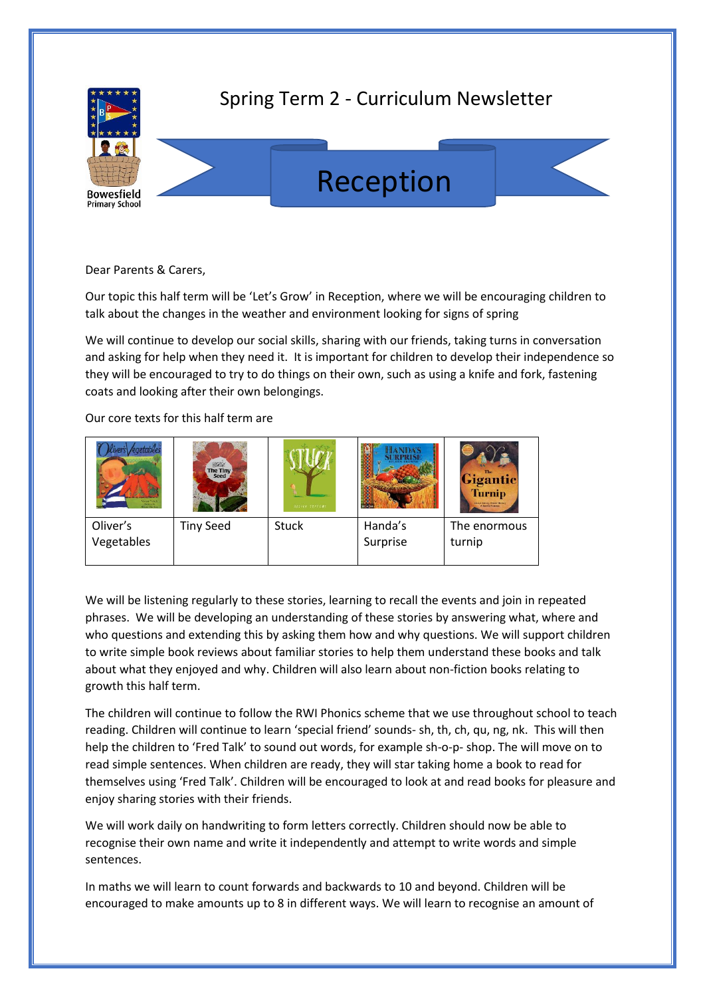

## Spring Term 2 - Curriculum Newsletter





Our topic this half term will be 'Let's Grow' in Reception, where we will be encouraging children to talk about the changes in the weather and environment looking for signs of spring

We will continue to develop our social skills, sharing with our friends, taking turns in conversation and asking for help when they need it. It is important for children to develop their independence so they will be encouraged to try to do things on their own, such as using a knife and fork, fastening coats and looking after their own belongings.

Our core texts for this half term are

| Vidas Perek<br>Samuelle.<br>Alian Barku. | BAYE<br>The Tiny<br><b>Seed</b> | 011718.5211185 |                     | Gigantic<br><b>Turnip</b><br>Mitted Tobary, Marsh Sheriery<br>- 6 Inchia Pianaten |
|------------------------------------------|---------------------------------|----------------|---------------------|-----------------------------------------------------------------------------------|
| Oliver's<br>Vegetables                   | <b>Tiny Seed</b>                | <b>Stuck</b>   | Handa's<br>Surprise | The enormous<br>turnip                                                            |

We will be listening regularly to these stories, learning to recall the events and join in repeated phrases. We will be developing an understanding of these stories by answering what, where and who questions and extending this by asking them how and why questions. We will support children to write simple book reviews about familiar stories to help them understand these books and talk about what they enjoyed and why. Children will also learn about non-fiction books relating to growth this half term.

The children will continue to follow the RWI Phonics scheme that we use throughout school to teach reading. Children will continue to learn 'special friend' sounds- sh, th, ch, qu, ng, nk. This will then help the children to 'Fred Talk' to sound out words, for example sh-o-p- shop. The will move on to read simple sentences. When children are ready, they will star taking home a book to read for themselves using 'Fred Talk'. Children will be encouraged to look at and read books for pleasure and enjoy sharing stories with their friends.

We will work daily on handwriting to form letters correctly. Children should now be able to recognise their own name and write it independently and attempt to write words and simple sentences.

In maths we will learn to count forwards and backwards to 10 and beyond. Children will be encouraged to make amounts up to 8 in different ways. We will learn to recognise an amount of